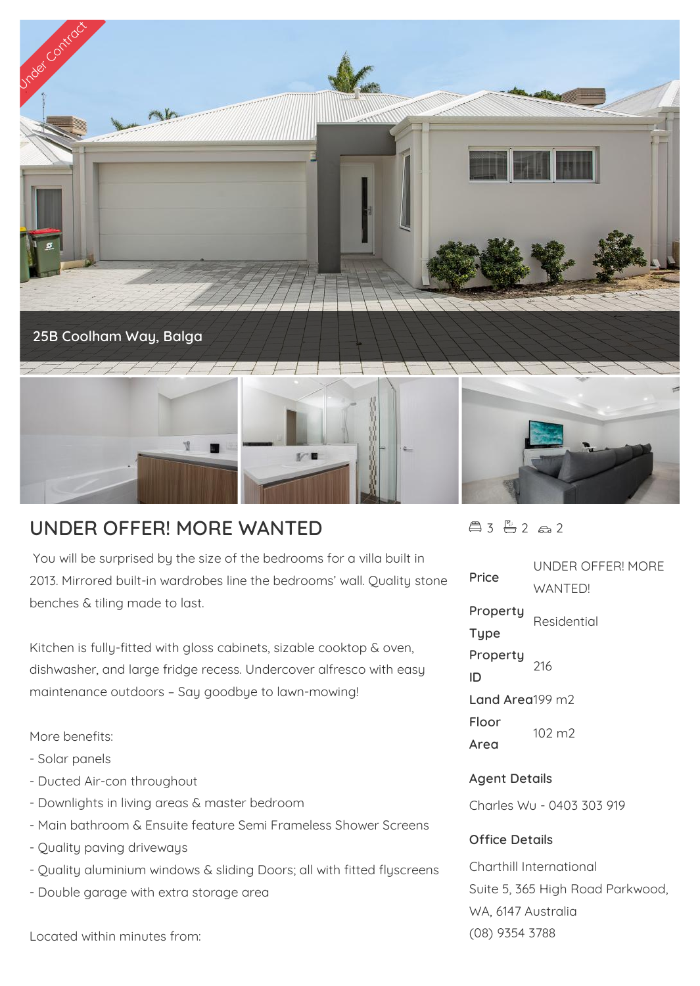

## **UNDER OFFER! MORE WANTED**

 You will be surprised by the size of the bedrooms for a villa built in 2013. Mirrored built-in wardrobes line the bedrooms' wall. Quality stone benches & tiling made to last.

Kitchen is fully-fitted with gloss cabinets, sizable cooktop & oven, dishwasher, and large fridge recess. Undercover alfresco with easy maintenance outdoors – Say goodbye to lawn-mowing!

More benefits:

- Solar panels
- Ducted Air-con throughout
- Downlights in living areas & master bedroom
- Main bathroom & Ensuite feature Semi Frameless Shower Screens
- Quality paving driveways
- Quality aluminium windows & sliding Doors; all with fitted flyscreens
- Double garage with extra storage area

Located within minutes from:

 $43 - 2 2 2$ 

**Price** UNDER OFFER! MORE WANTED! **Property Type** Residential **Property ID** 216 **Land Area**199 m2 **Floor Area** 102 m2 **Agent Details** Charles Wu - 0403 303 919 **Office Details** Charthill International

Suite 5, 365 High Road Parkwood, WA, 6147 Australia (08) 9354 3788